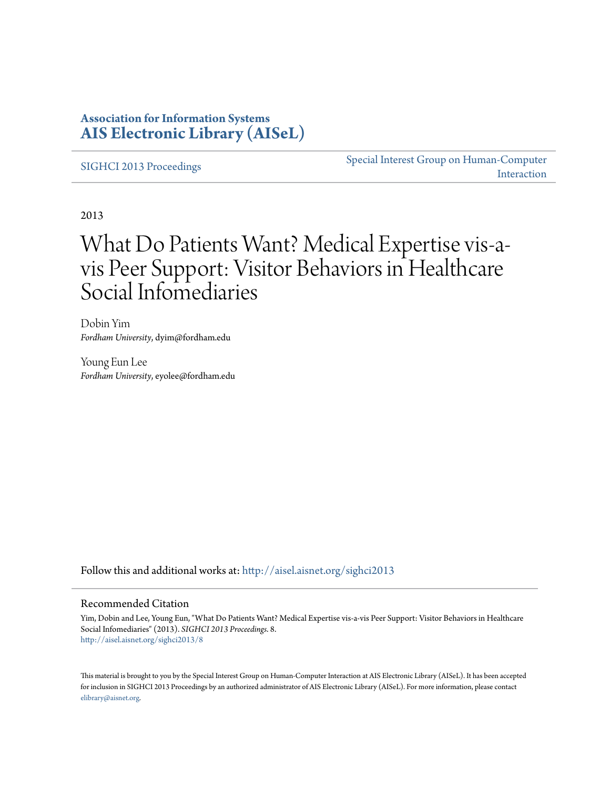### **Association for Information Systems [AIS Electronic Library \(AISeL\)](http://aisel.aisnet.org?utm_source=aisel.aisnet.org%2Fsighci2013%2F8&utm_medium=PDF&utm_campaign=PDFCoverPages)**

[SIGHCI 2013 Proceedings](http://aisel.aisnet.org/sighci2013?utm_source=aisel.aisnet.org%2Fsighci2013%2F8&utm_medium=PDF&utm_campaign=PDFCoverPages)

[Special Interest Group on Human-Computer](http://aisel.aisnet.org/sighci?utm_source=aisel.aisnet.org%2Fsighci2013%2F8&utm_medium=PDF&utm_campaign=PDFCoverPages) [Interaction](http://aisel.aisnet.org/sighci?utm_source=aisel.aisnet.org%2Fsighci2013%2F8&utm_medium=PDF&utm_campaign=PDFCoverPages)

2013

# What Do Patients Want? Medical Expertise vis-avis Peer Support: Visitor Behaviors in Healthcare Social Infomediaries

Dobin Yim *Fordham University*, dyim@fordham.edu

Young Eun Lee *Fordham University*, eyolee@fordham.edu

Follow this and additional works at: [http://aisel.aisnet.org/sighci2013](http://aisel.aisnet.org/sighci2013?utm_source=aisel.aisnet.org%2Fsighci2013%2F8&utm_medium=PDF&utm_campaign=PDFCoverPages)

#### Recommended Citation

Yim, Dobin and Lee, Young Eun, "What Do Patients Want? Medical Expertise vis-a-vis Peer Support: Visitor Behaviors in Healthcare Social Infomediaries" (2013). *SIGHCI 2013 Proceedings*. 8. [http://aisel.aisnet.org/sighci2013/8](http://aisel.aisnet.org/sighci2013/8?utm_source=aisel.aisnet.org%2Fsighci2013%2F8&utm_medium=PDF&utm_campaign=PDFCoverPages)

This material is brought to you by the Special Interest Group on Human-Computer Interaction at AIS Electronic Library (AISeL). It has been accepted for inclusion in SIGHCI 2013 Proceedings by an authorized administrator of AIS Electronic Library (AISeL). For more information, please contact [elibrary@aisnet.org.](mailto:elibrary@aisnet.org%3E)